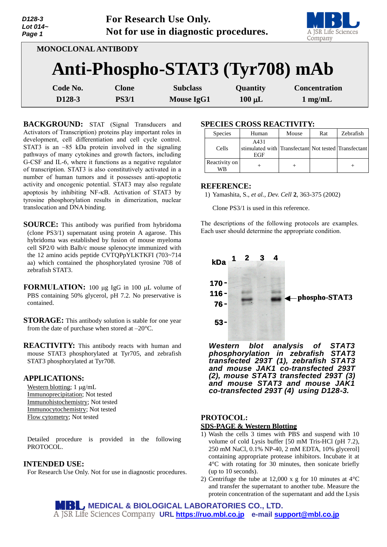| D128-3<br>Lot 014~<br>Page 1 |                                 | For Research Use Only.<br>Not for use in diagnostic procedures. |             | A JSR Life Sciences<br>Company |
|------------------------------|---------------------------------|-----------------------------------------------------------------|-------------|--------------------------------|
|                              | MONOCLONAL ANTIBODY             |                                                                 |             |                                |
|                              | Anti-Phospho-STAT3 (Tyr708) mAb |                                                                 |             |                                |
| Code No.                     | <b>Clone</b>                    | <b>Subclass</b>                                                 | Quantity    | <b>Concentration</b>           |
| D128-3                       | <b>PS3/1</b>                    | <b>Mouse IgG1</b>                                               | $100 \mu L$ | $1 \text{ mg/mL}$              |

 $\mathbf{F}$   $\mathbf{F}$   $\mathbf{F}$   $\mathbf{F}$   $\mathbf{F}$   $\mathbf{F}$   $\mathbf{F}$   $\mathbf{F}$   $\mathbf{F}$   $\mathbf{F}$   $\mathbf{F}$   $\mathbf{F}$   $\mathbf{F}$   $\mathbf{F}$   $\mathbf{F}$   $\mathbf{F}$   $\mathbf{F}$   $\mathbf{F}$   $\mathbf{F}$   $\mathbf{F}$   $\mathbf{F}$   $\mathbf{F}$   $\mathbf{F}$   $\mathbf{F}$   $\mathbf{$ 

**BACKGROUND:** STAT (Signal Transducers and Activators of Transcription) proteins play important roles in development, cell differentiation and cell cycle control. STAT3 is an  $\sim$ 85 kDa protein involved in the signaling pathways of many cytokines and growth factors, including G-CSF and IL-6, where it functions as a negative regulator of transcription. STAT3 is also constitutively activated in a number of human tumors and it possesses anti-apoptotic activity and oncogenic potential. STAT3 may also regulate apoptosis by inhibiting NF- $\kappa$ B. Activation of STAT3 by tyrosine phosphorylation results in dimerization, nuclear translocation and DNA binding.

**SOURCE:** This antibody was purified from hybridoma (clone PS3/1) supernatant using protein A agarose. This hybridoma was established by fusion of mouse myeloma cell SP2/0 with Balb/c mouse splenocyte immunized with the 12 amino acids peptide CVTQPpYLKTKFI (703~714 aa) which contained the phosphorylated tyrosine 708 of zebrafish STAT3.

- **FORMULATION:** 100 µg IgG in 100 µL volume of PBS containing 50% glycerol, pH 7.2. No preservative is contained.
- **STORAGE:** This antibody solution is stable for one year from the date of purchase when stored at –20°C.
- **REACTIVITY:** This antibody reacts with human and mouse STAT3 phosphorylated at Tyr705, and zebrafish STAT3 phosphorylated at Tyr708.

#### **APPLICATIONS:**

*D128-3*

Western blotting; 1 µg/mL Immunoprecipitation; Not tested Immunohistochemistry; Not tested Immunocytochemistry; Not tested Flow cytometry; Not tested

Detailed procedure is provided in the following PROTOCOL.

#### **INTENDED USE:**

For Research Use Only. Not for use in diagnostic procedures.

### **SPECIES CROSS REACTIVITY:**

| <b>Species</b>                 | Human                                                               | Mouse | Rat | Zebrafish |
|--------------------------------|---------------------------------------------------------------------|-------|-----|-----------|
| Cells                          | A431<br>stimulated with Transfectant Not tested Transfectant<br>EGF |       |     |           |
| Reactivity on<br>$W\mathsf{R}$ |                                                                     |       |     |           |

a series de la contrata de

#### **REFERENCE:**

1) Yamashita, S., *et al., Dev. Cell* **2**, 363-375 (2002)

Clone PS3/1 is used in this reference.

The descriptions of the following protocols are examples. Each user should determine the appropriate condition.



*Western blot analysis of STAT3 phosphorylation in zebrafish STAT3 transfected 293T (1), zebrafish STAT3 and mouse JAK1 co-transfected 293T (2), mouse STAT3 transfected 293T (3) and mouse STAT3 and mouse JAK1 co-transfected 293T (4) using D128-3.* 

# **PROTOCOL:**

## **SDS-PAGE & Western Blotting**

- 1) Wash the cells 3 times with PBS and suspend with 10 volume of cold Lysis buffer [50 mM Tris-HCl (pH 7.2), 250 mM NaCl, 0.1% NP-40, 2 mM EDTA, 10% glycerol] containing appropriate protease inhibitors. Incubate it at 4°C with rotating for 30 minutes, then sonicate briefly (up to 10 seconds).
- 2) Centrifuge the tube at 12,000 x g for 10 minutes at 4°C and transfer the supernatant to another tube. Measure the protein concentration of the supernatant and add the Lysis

**MEDICAL & BIOLOGICAL LABORATORIES CO., LTD. URL [https://ruo.mbl.co.jp](https://ruo.mbl.co.jp/) e-mail [support@mbl.co.jp](mailto:support@mbl.co.jp)**